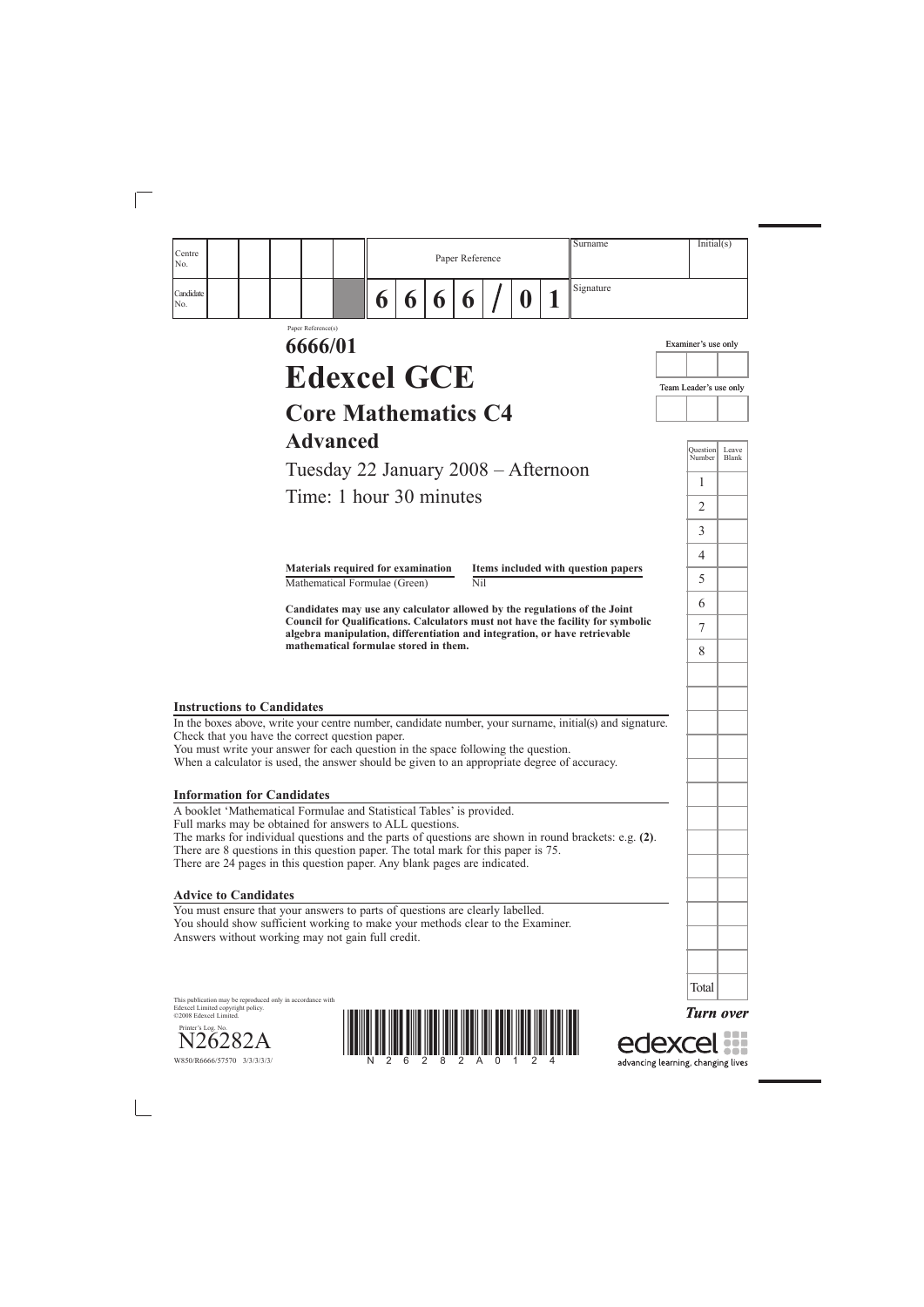

edexcel

| Centre<br>No.                                                                                                                                                                                                                                                                                                                                                                       | Paper Reference         |   | Surname                             | Initial(s)             |                |
|-------------------------------------------------------------------------------------------------------------------------------------------------------------------------------------------------------------------------------------------------------------------------------------------------------------------------------------------------------------------------------------|-------------------------|---|-------------------------------------|------------------------|----------------|
| Candidate<br>6<br>6<br>6<br>No.                                                                                                                                                                                                                                                                                                                                                     | $\boldsymbol{\theta}$   | U | Signature                           |                        |                |
| Paper Reference(s)<br>6666/01                                                                                                                                                                                                                                                                                                                                                       |                         |   |                                     | Examiner's use only    |                |
| <b>Edexcel GCE</b>                                                                                                                                                                                                                                                                                                                                                                  |                         |   |                                     | Team Leader's use only |                |
| <b>Core Mathematics C4</b>                                                                                                                                                                                                                                                                                                                                                          |                         |   |                                     |                        |                |
| <b>Advanced</b>                                                                                                                                                                                                                                                                                                                                                                     |                         |   |                                     | Question<br>Number     | Leave<br>Blank |
| Tuesday 22 January 2008 – Afternoon                                                                                                                                                                                                                                                                                                                                                 |                         |   |                                     | $\mathbf{I}$           |                |
| Time: 1 hour 30 minutes                                                                                                                                                                                                                                                                                                                                                             |                         |   |                                     | $\overline{2}$         |                |
|                                                                                                                                                                                                                                                                                                                                                                                     |                         |   |                                     | $\overline{3}$         |                |
| Materials required for examination                                                                                                                                                                                                                                                                                                                                                  |                         |   | Items included with question papers | $\overline{4}$         |                |
| Mathematical Formulae (Green)                                                                                                                                                                                                                                                                                                                                                       | $\overline{\text{Nil}}$ |   |                                     | 5                      |                |
| Candidates may use any calculator allowed by the regulations of the Joint<br>Council for Qualifications. Calculators must not have the facility for symbolic                                                                                                                                                                                                                        |                         |   |                                     | 6                      |                |
| algebra manipulation, differentiation and integration, or have retrievable<br>mathematical formulae stored in them.                                                                                                                                                                                                                                                                 |                         |   |                                     | 7                      |                |
|                                                                                                                                                                                                                                                                                                                                                                                     |                         |   |                                     | 8                      |                |
|                                                                                                                                                                                                                                                                                                                                                                                     |                         |   |                                     |                        |                |
| <b>Instructions to Candidates</b><br>In the boxes above, write your centre number, candidate number, your surname, initial(s) and signature.<br>Check that you have the correct question paper.<br>You must write your answer for each question in the space following the question.<br>When a calculator is used, the answer should be given to an appropriate degree of accuracy. |                         |   |                                     |                        |                |
| <b>Information for Candidates</b>                                                                                                                                                                                                                                                                                                                                                   |                         |   |                                     |                        |                |
| A booklet 'Mathematical Formulae and Statistical Tables' is provided.<br>Full marks may be obtained for answers to ALL questions.<br>The marks for individual questions and the parts of questions are shown in round brackets: e.g. (2).<br>There are 8 questions in this question paper. The total mark for this paper is 75.                                                     |                         |   |                                     |                        |                |
| There are 24 pages in this question paper. Any blank pages are indicated.                                                                                                                                                                                                                                                                                                           |                         |   |                                     |                        |                |
|                                                                                                                                                                                                                                                                                                                                                                                     |                         |   |                                     |                        |                |
| <b>Advice to Candidates</b>                                                                                                                                                                                                                                                                                                                                                         |                         |   |                                     |                        |                |
| You must ensure that your answers to parts of questions are clearly labelled.<br>You should show sufficient working to make your methods clear to the Examiner.<br>Answers without working may not gain full credit.                                                                                                                                                                |                         |   |                                     |                        |                |

W850/R6666/57570 3/3/3/3/3/

 $\overline{\phantom{a}}$ 

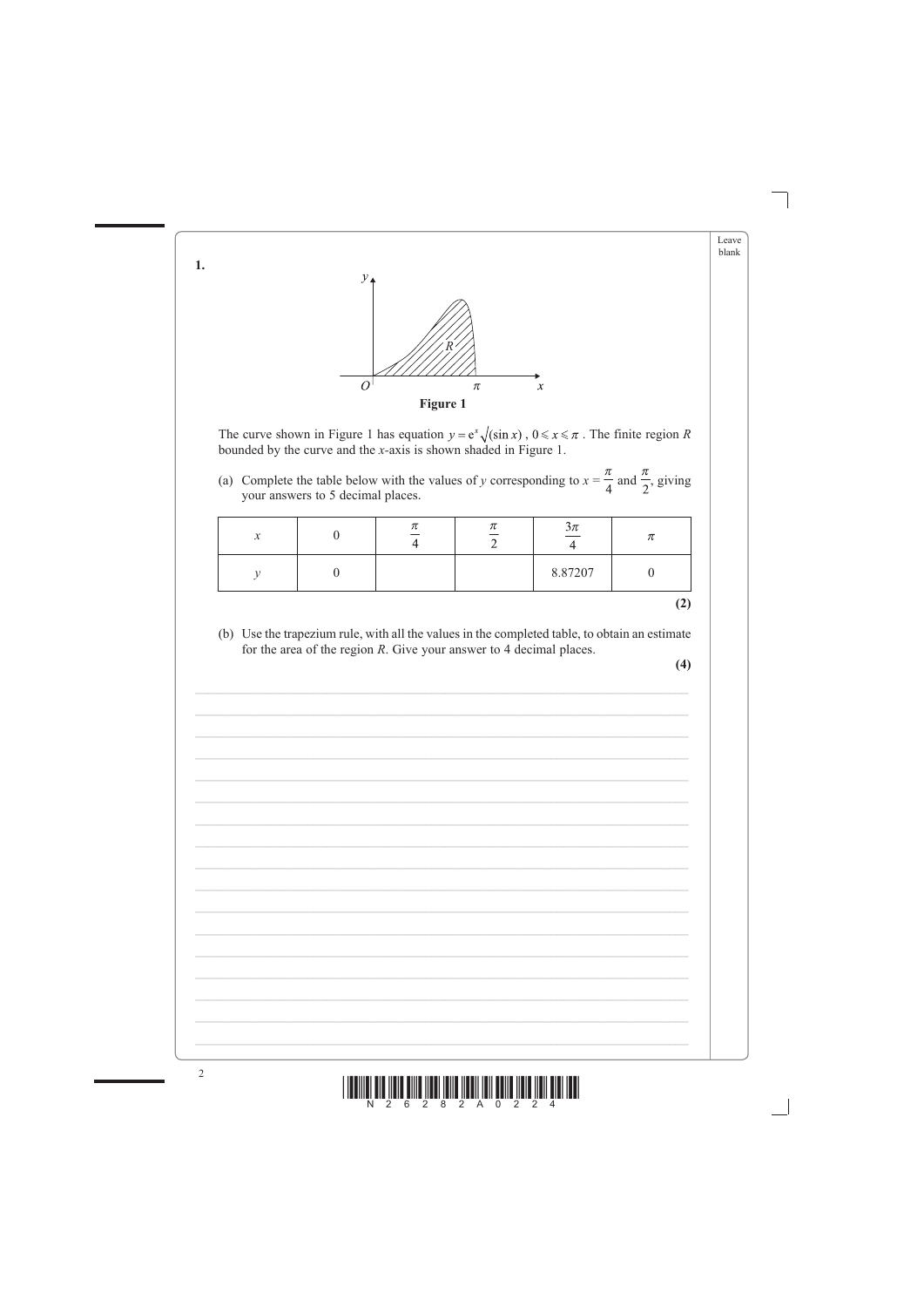



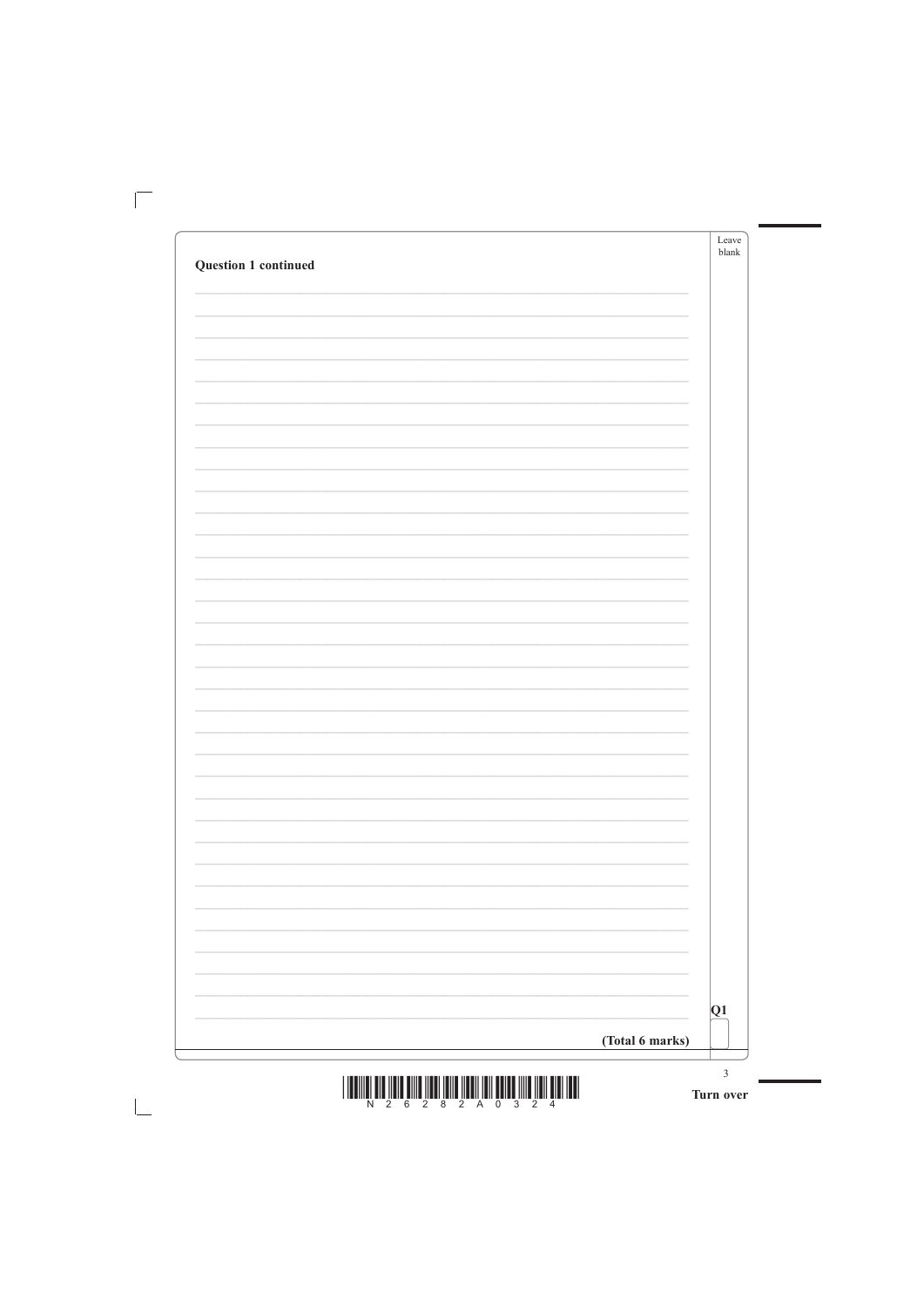|                             | Leave<br>blank |
|-----------------------------|----------------|
| <b>Question 1 continued</b> |                |
|                             |                |
|                             |                |
|                             |                |
|                             |                |
|                             |                |
|                             |                |
|                             |                |
|                             |                |
|                             |                |
|                             |                |
|                             |                |
|                             |                |
|                             |                |
|                             |                |
|                             |                |
|                             |                |
|                             |                |
|                             |                |
|                             |                |
|                             |                |
|                             |                |
|                             |                |
|                             |                |
|                             |                |
|                             |                |
|                             |                |
|                             |                |
|                             |                |
|                             |                |
|                             |                |
|                             |                |
|                             |                |
|                             |                |
|                             |                |

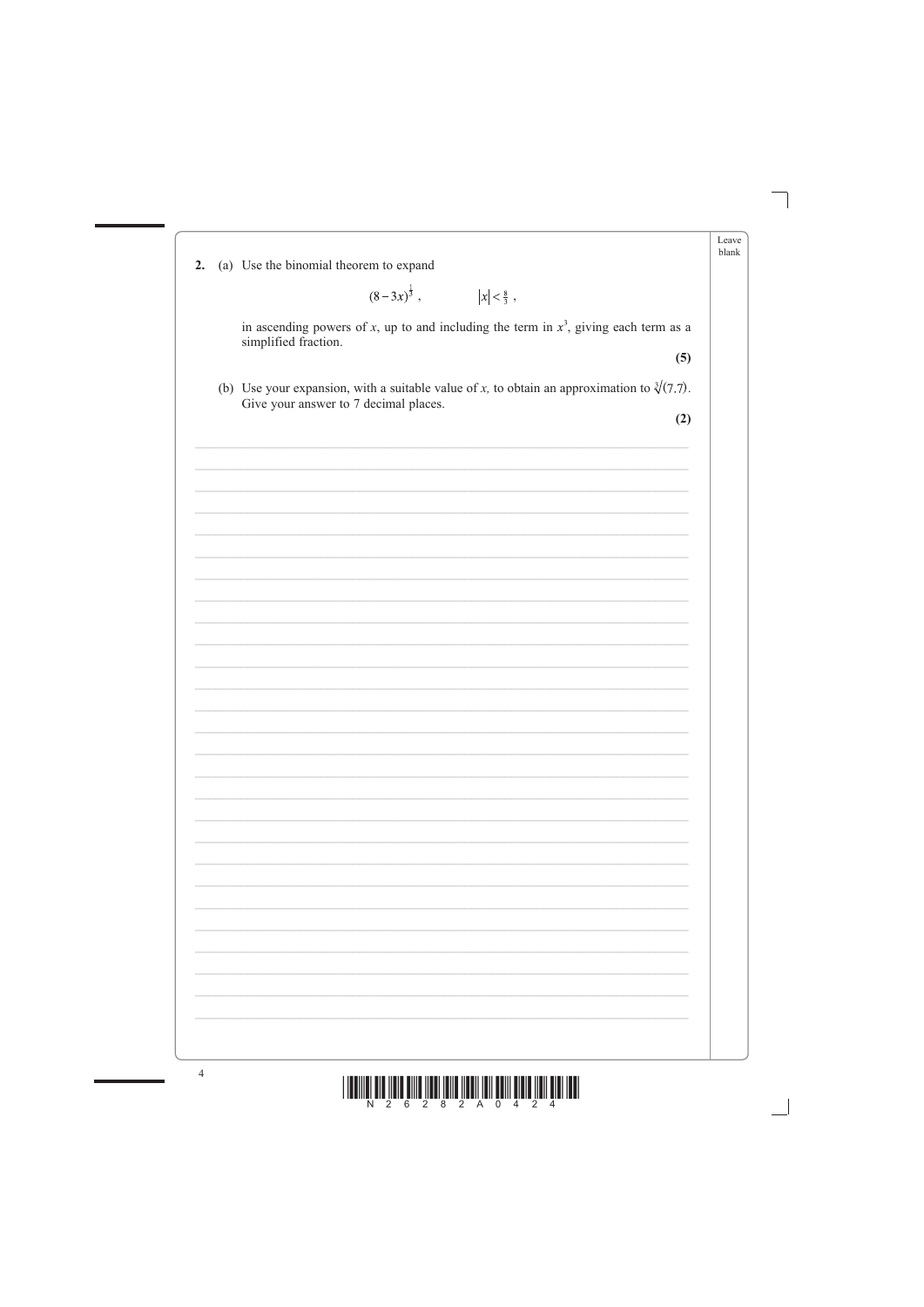| 2. | (a) Use the binomial theorem to expand                                                                                                         | Leave<br>blank |
|----|------------------------------------------------------------------------------------------------------------------------------------------------|----------------|
|    | $(8-3x)^{\frac{1}{3}}$ , $ x  < \frac{8}{3}$ ,                                                                                                 |                |
|    | in ascending powers of x, up to and including the term in $x^3$ , giving each term as a<br>simplified fraction.                                |                |
|    | (5)                                                                                                                                            |                |
|    | (b) Use your expansion, with a suitable value of x, to obtain an approximation to $\sqrt[3]{(7.7)}$ .<br>Give your answer to 7 decimal places. |                |
|    | (2)                                                                                                                                            |                |
|    |                                                                                                                                                |                |
|    |                                                                                                                                                |                |
|    |                                                                                                                                                |                |
|    |                                                                                                                                                |                |
|    |                                                                                                                                                |                |
|    |                                                                                                                                                |                |
|    |                                                                                                                                                |                |
|    |                                                                                                                                                |                |
|    |                                                                                                                                                |                |
|    |                                                                                                                                                |                |
|    |                                                                                                                                                |                |
|    |                                                                                                                                                |                |
|    |                                                                                                                                                |                |
|    |                                                                                                                                                |                |
|    |                                                                                                                                                |                |
|    |                                                                                                                                                |                |
|    |                                                                                                                                                |                |
|    |                                                                                                                                                |                |



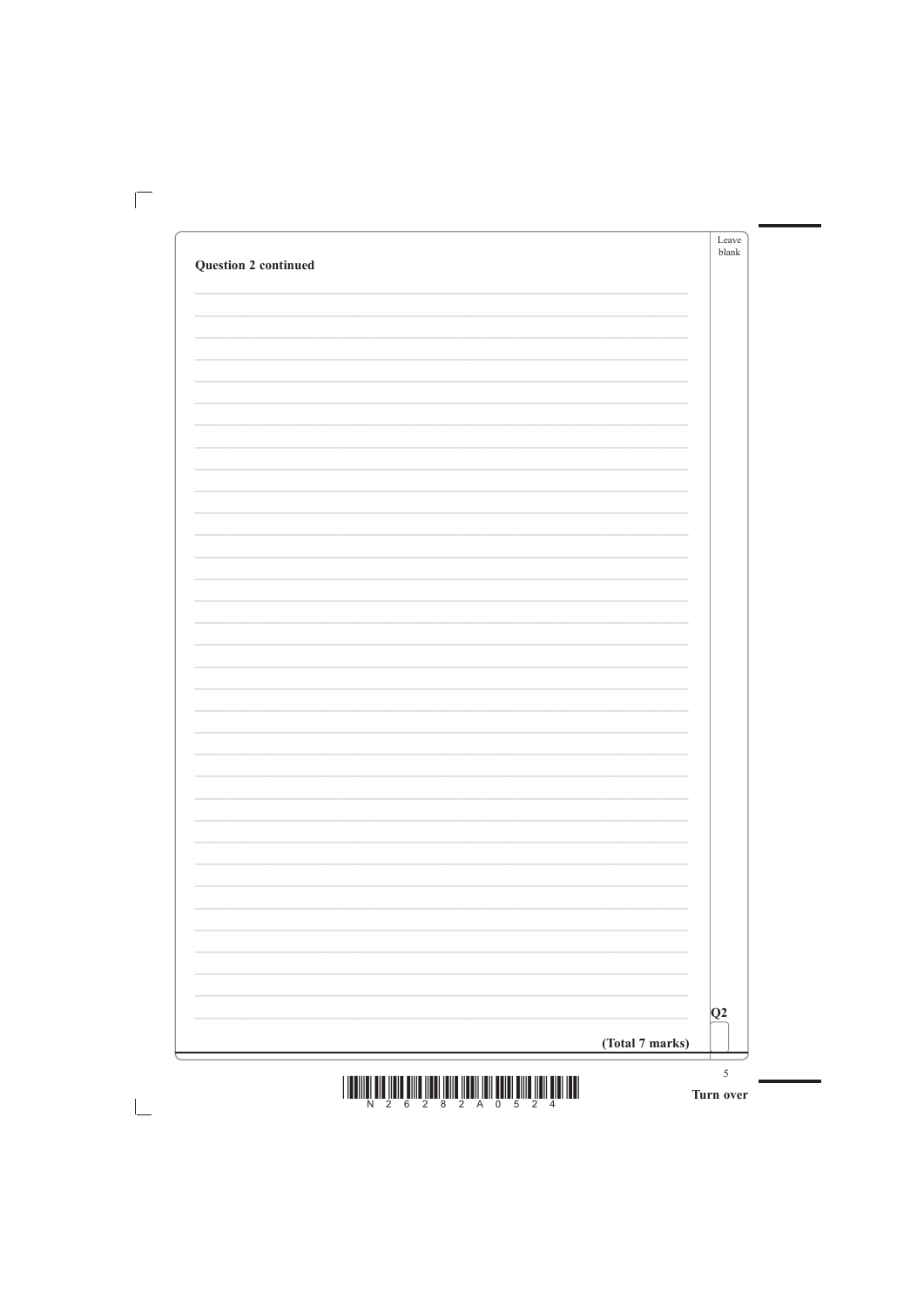| <b>Question 2 continued</b> | Leave<br>blank |
|-----------------------------|----------------|
|                             |                |
|                             |                |
|                             |                |
|                             |                |
|                             |                |
|                             |                |
|                             |                |
|                             |                |
|                             |                |
|                             |                |
|                             |                |
|                             |                |
|                             |                |
|                             |                |
|                             |                |
|                             |                |
|                             |                |
|                             |                |
|                             |                |
|                             |                |
|                             |                |
|                             |                |
|                             |                |
|                             |                |
|                             |                |
|                             |                |
|                             |                |
|                             |                |
|                             |                |
|                             |                |
|                             |                |
|                             |                |

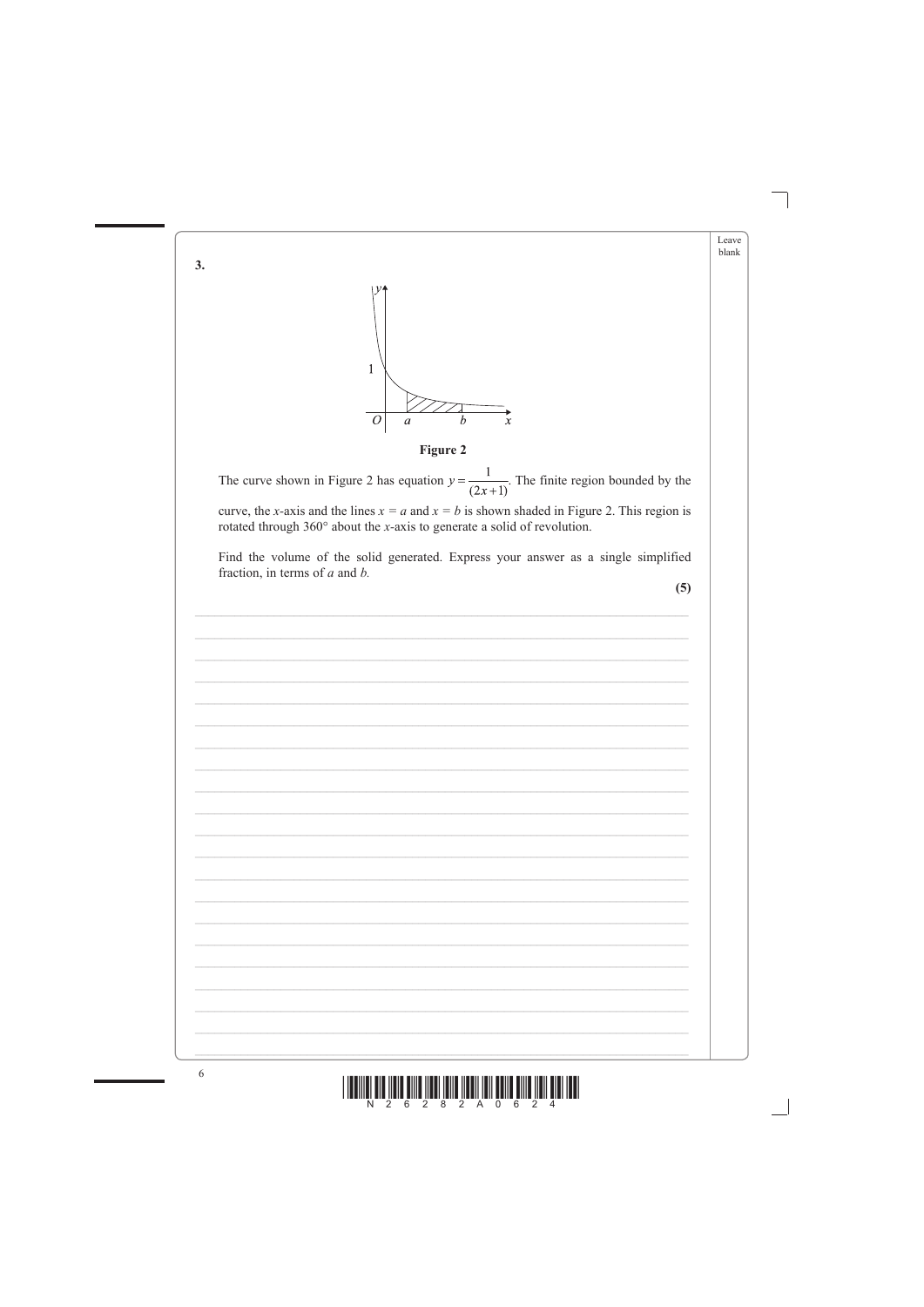



![](_page_5_Figure_2.jpeg)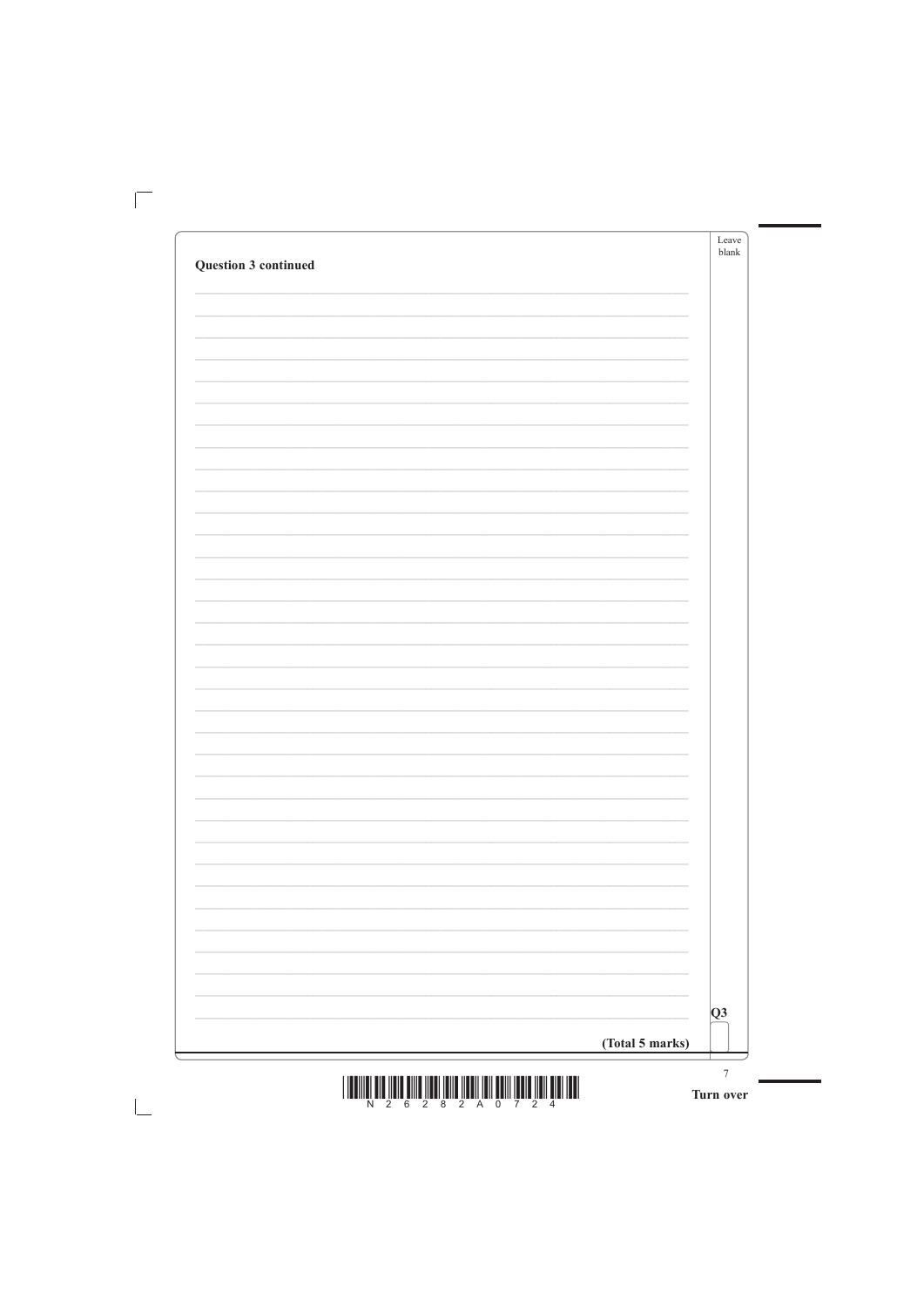|                      | Leave<br>blank |
|----------------------|----------------|
| Question 3 continued |                |
|                      |                |
|                      |                |
|                      |                |
|                      |                |
|                      |                |
|                      |                |
|                      |                |
|                      |                |
|                      |                |
|                      |                |
|                      |                |
|                      |                |
|                      |                |
|                      |                |
|                      |                |
|                      |                |
|                      |                |
|                      |                |
|                      |                |
|                      |                |
|                      |                |
|                      |                |
|                      |                |
|                      |                |
|                      |                |
|                      |                |
|                      |                |
|                      |                |
|                      |                |
|                      |                |

![](_page_6_Figure_1.jpeg)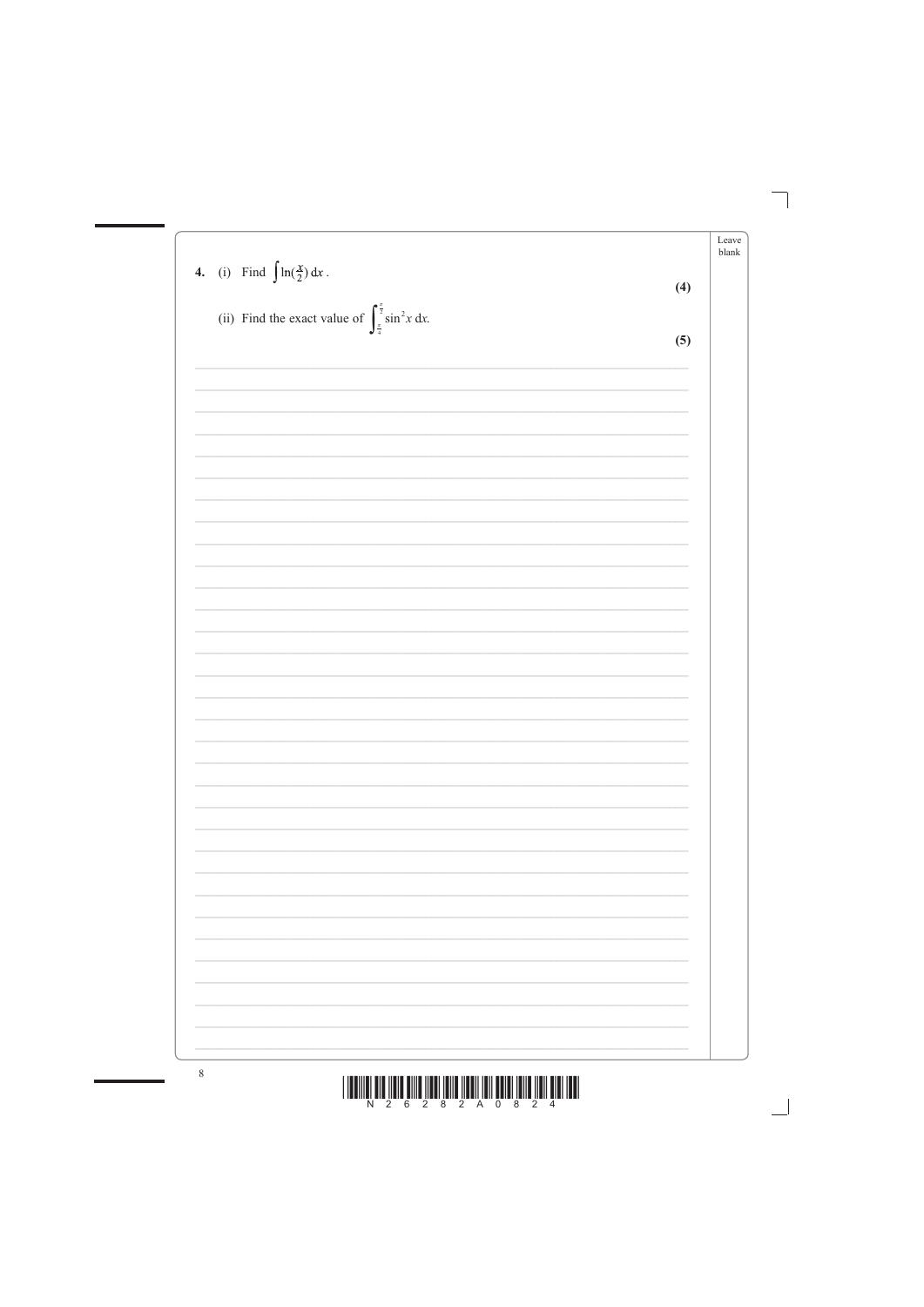|                                                                                      |     | Leave<br>blank |
|--------------------------------------------------------------------------------------|-----|----------------|
| 4. (i) Find $\int \ln(\frac{x}{2}) dx$ .                                             | (4) |                |
| (ii) Find the exact value of $\int_{\frac{\pi}{4}}^{\frac{\pi}{2}} \sin^2 x \, dx$ . |     |                |
|                                                                                      | (5) |                |
|                                                                                      |     |                |
|                                                                                      |     |                |
|                                                                                      |     |                |
|                                                                                      |     |                |
|                                                                                      |     |                |
|                                                                                      |     |                |
|                                                                                      |     |                |
|                                                                                      |     |                |
|                                                                                      |     |                |
|                                                                                      |     |                |
|                                                                                      |     |                |
|                                                                                      |     |                |
|                                                                                      |     |                |
|                                                                                      |     |                |
|                                                                                      |     |                |
|                                                                                      |     |                |
|                                                                                      |     |                |
|                                                                                      |     |                |
|                                                                                      |     |                |

![](_page_7_Figure_1.jpeg)

 $8\phantom{.0}$ 

![](_page_7_Figure_2.jpeg)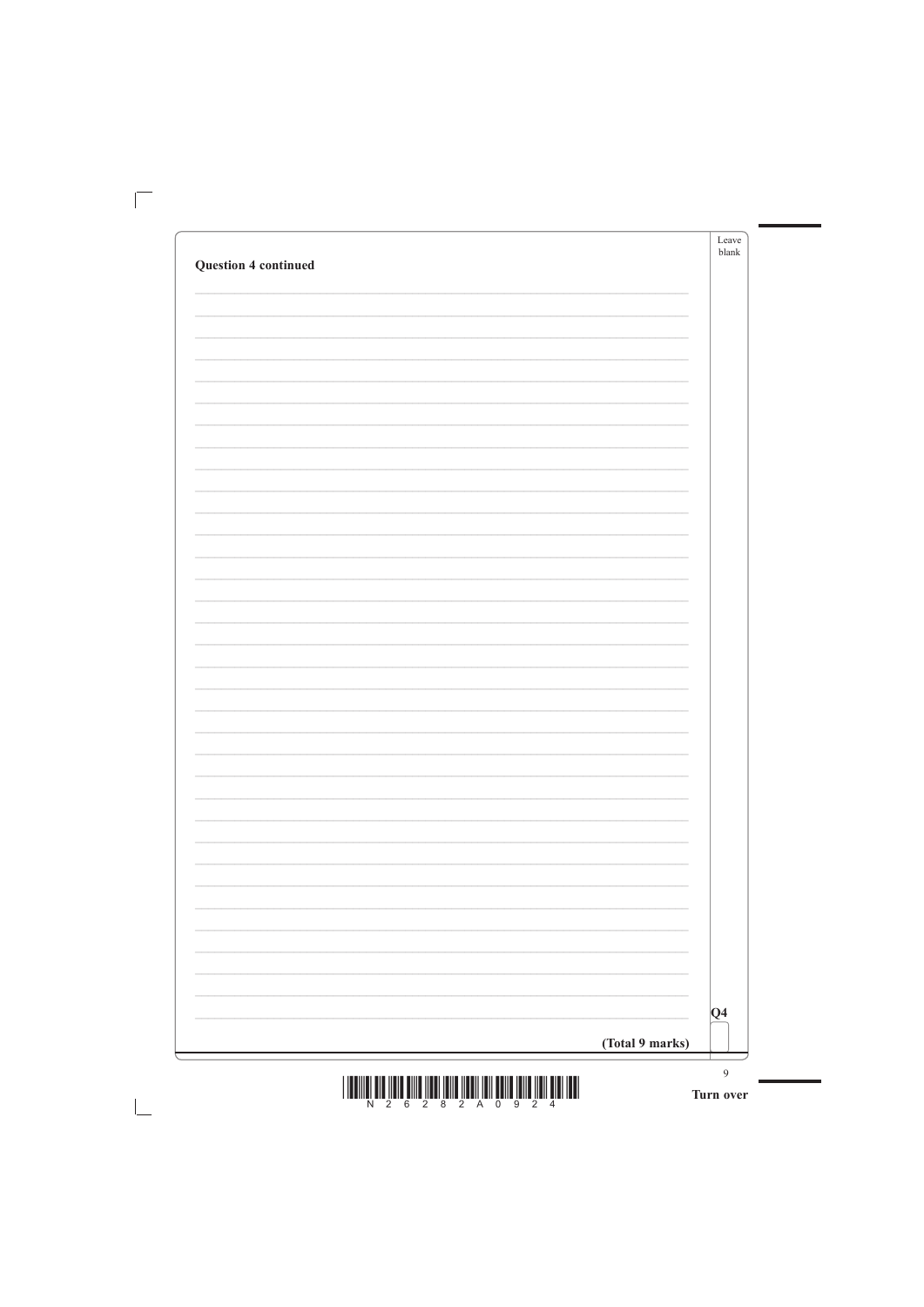|                             | Leave<br>$b$ lank |
|-----------------------------|-------------------|
| <b>Question 4 continued</b> |                   |
|                             |                   |
|                             |                   |
|                             |                   |
|                             |                   |
|                             |                   |
|                             |                   |
|                             |                   |
|                             |                   |
|                             |                   |
|                             |                   |
|                             |                   |
|                             |                   |
|                             |                   |
|                             |                   |
|                             |                   |
|                             |                   |
|                             |                   |
|                             |                   |
|                             |                   |
|                             |                   |
|                             |                   |
|                             |                   |
|                             |                   |
|                             |                   |
|                             |                   |
|                             |                   |
|                             |                   |
|                             |                   |
|                             |                   |
|                             |                   |
|                             |                   |
|                             |                   |

![](_page_8_Figure_1.jpeg)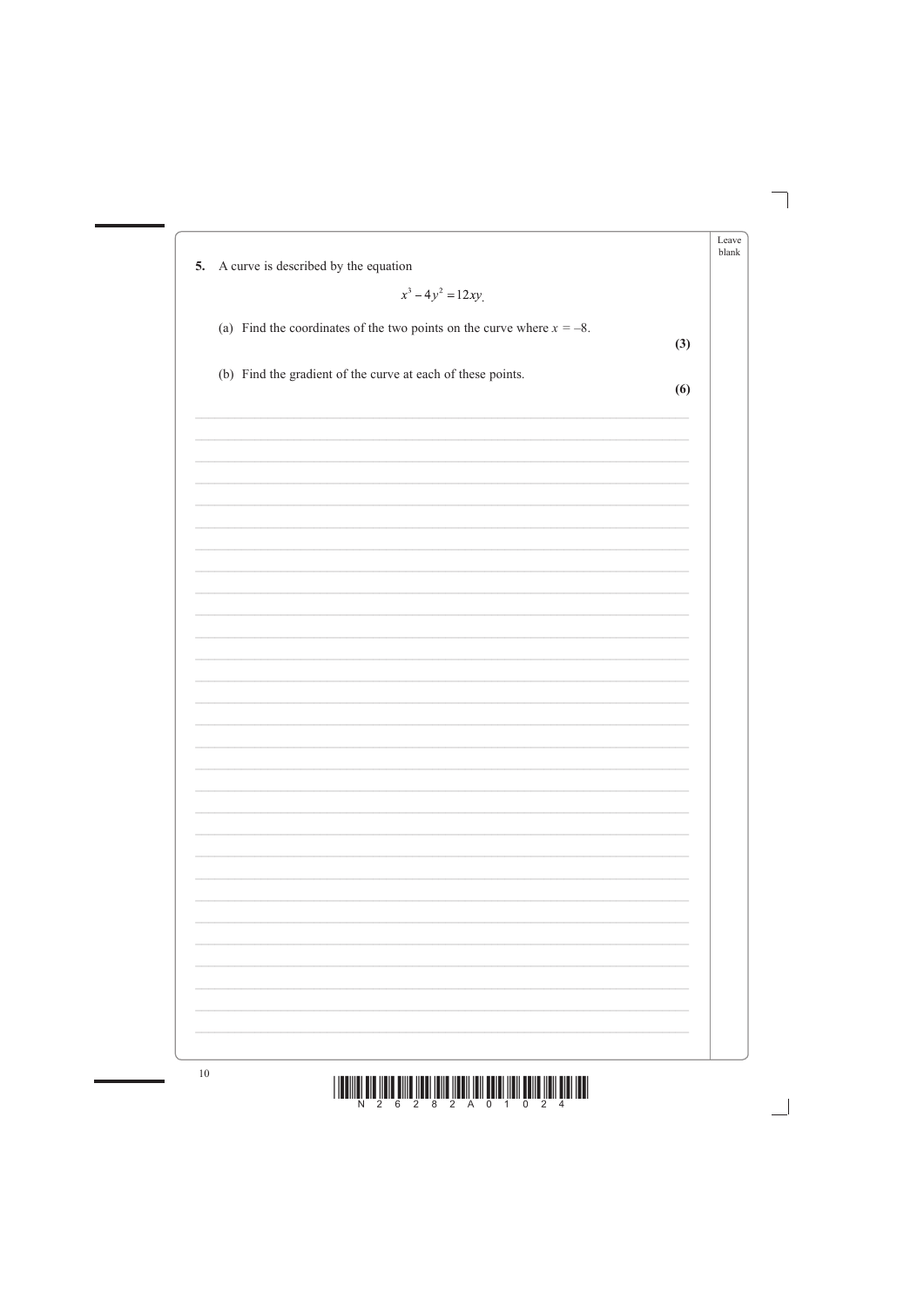| A curve is described by the equation<br>5.                               |     |
|--------------------------------------------------------------------------|-----|
| $x^3 - 4y^2 = 12xy$                                                      |     |
| (a) Find the coordinates of the two points on the curve where $x = -8$ . |     |
|                                                                          | (3) |
| (b) Find the gradient of the curve at each of these points.              |     |
|                                                                          | (6) |
|                                                                          |     |
|                                                                          |     |
|                                                                          |     |
|                                                                          |     |
|                                                                          |     |
|                                                                          |     |
|                                                                          |     |
|                                                                          |     |
|                                                                          |     |
|                                                                          |     |
|                                                                          |     |
|                                                                          |     |
|                                                                          |     |
|                                                                          |     |
|                                                                          |     |
|                                                                          |     |
|                                                                          |     |
|                                                                          |     |
|                                                                          |     |
|                                                                          |     |
|                                                                          |     |
|                                                                          |     |
|                                                                          |     |

![](_page_9_Figure_1.jpeg)

![](_page_9_Figure_2.jpeg)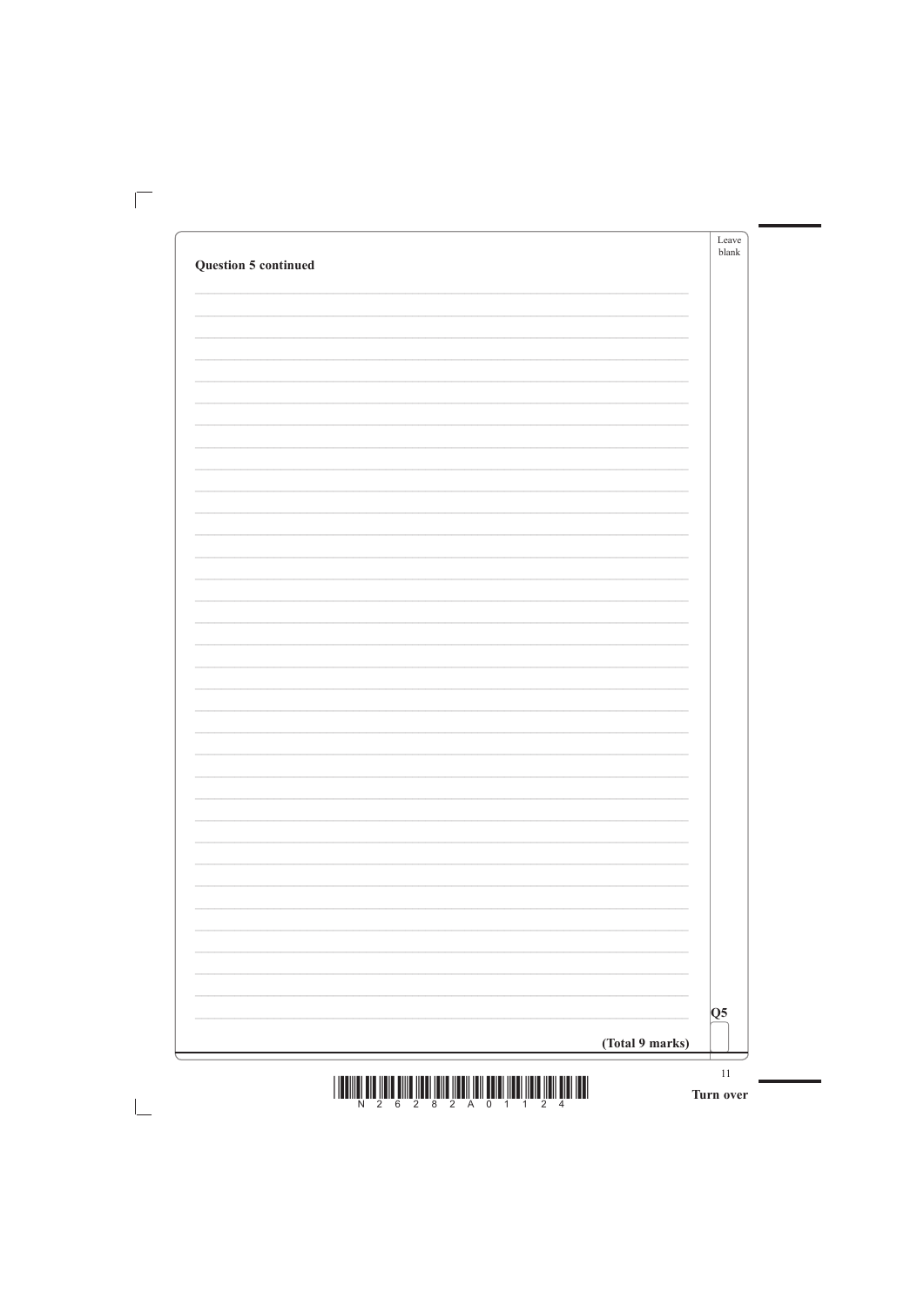|                             | Leave<br>blank |
|-----------------------------|----------------|
| <b>Question 5 continued</b> |                |
|                             |                |
|                             |                |
|                             |                |
|                             |                |
|                             |                |
|                             |                |
|                             |                |
|                             |                |
|                             |                |
|                             |                |
|                             |                |
|                             |                |
|                             |                |
|                             |                |
|                             |                |
|                             |                |
|                             |                |
|                             |                |
|                             |                |
|                             |                |
|                             |                |
|                             |                |
|                             |                |
|                             |                |
|                             |                |
|                             |                |
|                             |                |
|                             |                |
|                             |                |
|                             |                |
|                             |                |

![](_page_10_Figure_1.jpeg)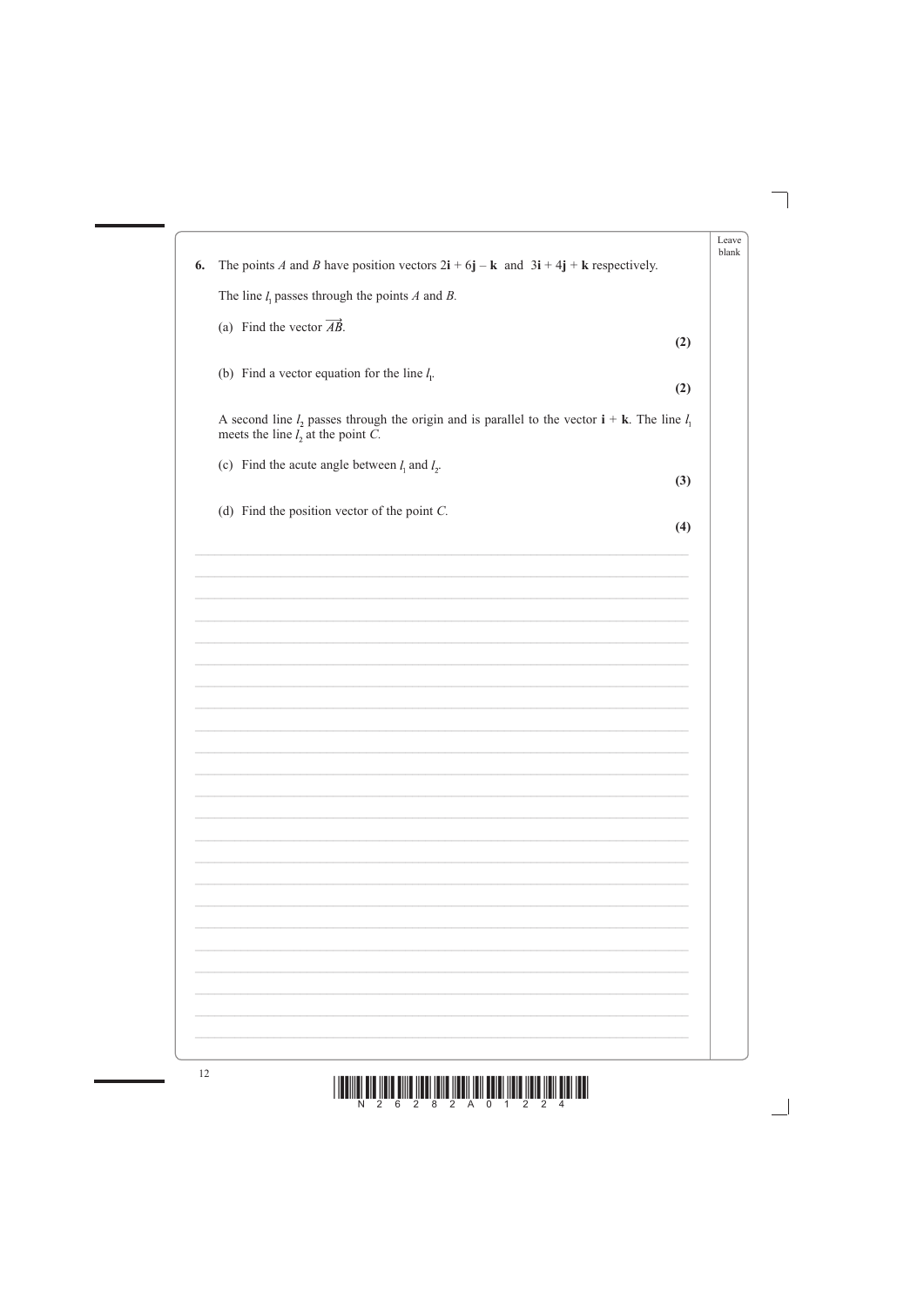|    |                                                                                                                                                                | Leave |
|----|----------------------------------------------------------------------------------------------------------------------------------------------------------------|-------|
| 6. | The points A and B have position vectors $2\mathbf{i} + 6\mathbf{j} - \mathbf{k}$ and $3\mathbf{i} + 4\mathbf{j} + \mathbf{k}$ respectively.                   | blank |
|    | The line $l_1$ passes through the points A and B.                                                                                                              |       |
|    |                                                                                                                                                                |       |
|    | (a) Find the vector $\overrightarrow{AB}$ .<br>(2)                                                                                                             |       |
|    | (b) Find a vector equation for the line $l_1$ .<br>(2)                                                                                                         |       |
|    | A second line $l_2$ passes through the origin and is parallel to the vector $\mathbf{i} + \mathbf{k}$ . The line $l_1$<br>meets the line $l_2$ at the point C. |       |
|    | (c) Find the acute angle between $l_1$ and $l_2$ .<br>(3)                                                                                                      |       |
|    | (d) Find the position vector of the point $C$ .<br>(4)                                                                                                         |       |
|    |                                                                                                                                                                |       |
|    |                                                                                                                                                                |       |
|    |                                                                                                                                                                |       |
|    |                                                                                                                                                                |       |
|    |                                                                                                                                                                |       |
|    |                                                                                                                                                                |       |
|    |                                                                                                                                                                |       |
|    |                                                                                                                                                                |       |
|    |                                                                                                                                                                |       |
|    |                                                                                                                                                                |       |
|    |                                                                                                                                                                |       |
|    |                                                                                                                                                                |       |
|    |                                                                                                                                                                |       |
|    |                                                                                                                                                                |       |
|    |                                                                                                                                                                |       |
|    |                                                                                                                                                                |       |
|    |                                                                                                                                                                |       |
|    |                                                                                                                                                                |       |
|    |                                                                                                                                                                |       |

![](_page_11_Figure_1.jpeg)

![](_page_11_Picture_3.jpeg)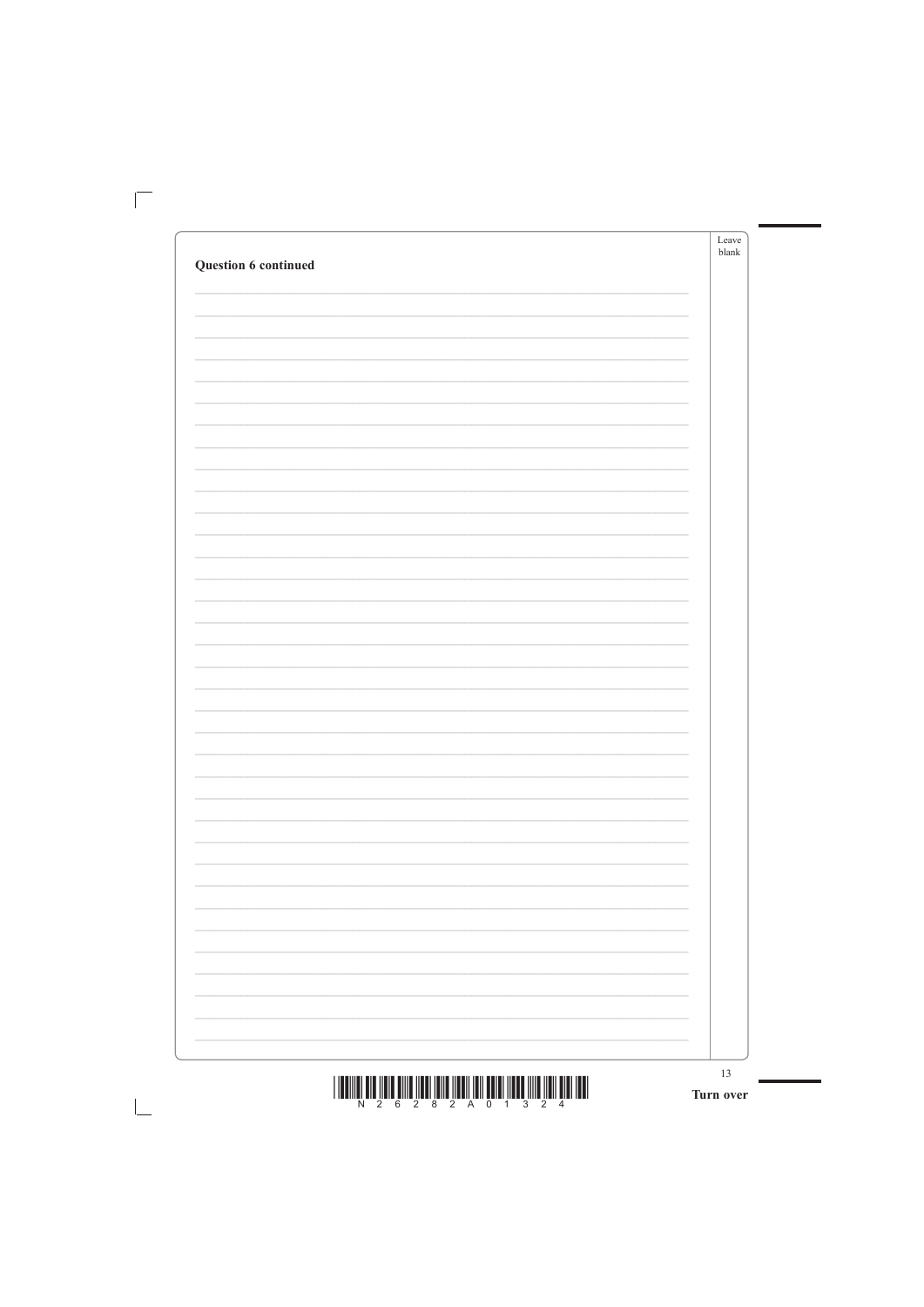|                      | Leave<br>blank |
|----------------------|----------------|
| Question 6 continued |                |
|                      |                |
|                      |                |
|                      |                |
|                      |                |
|                      |                |
|                      |                |
|                      |                |
|                      |                |
|                      |                |
|                      |                |
|                      |                |
|                      |                |
|                      |                |
|                      |                |
|                      |                |
|                      |                |
|                      |                |
|                      |                |
|                      |                |
|                      |                |
|                      |                |
|                      |                |
|                      |                |
|                      |                |
|                      |                |
|                      |                |
|                      |                |
|                      |                |
|                      |                |
|                      |                |
|                      |                |
|                      |                |
|                      |                |
|                      |                |

![](_page_12_Figure_1.jpeg)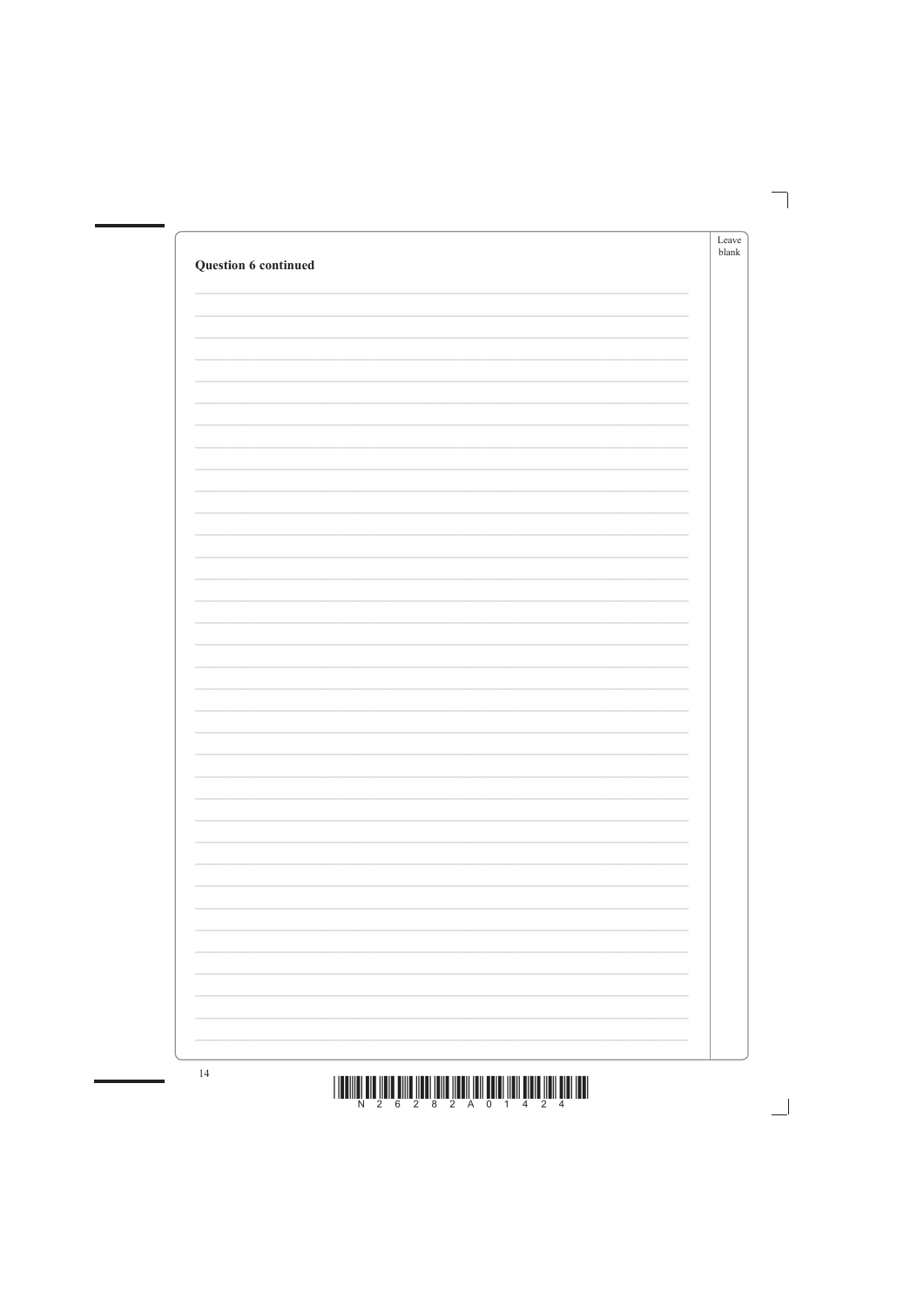| Question 6 continued | Leave<br>blank |
|----------------------|----------------|
|                      |                |
|                      |                |
|                      |                |
|                      |                |
|                      |                |
|                      |                |
|                      |                |
|                      |                |
|                      |                |
|                      |                |
|                      |                |
|                      |                |
|                      |                |
|                      |                |
|                      |                |
|                      |                |
|                      |                |
|                      |                |
|                      |                |
|                      |                |
|                      |                |
|                      |                |

![](_page_13_Figure_1.jpeg)

![](_page_13_Figure_2.jpeg)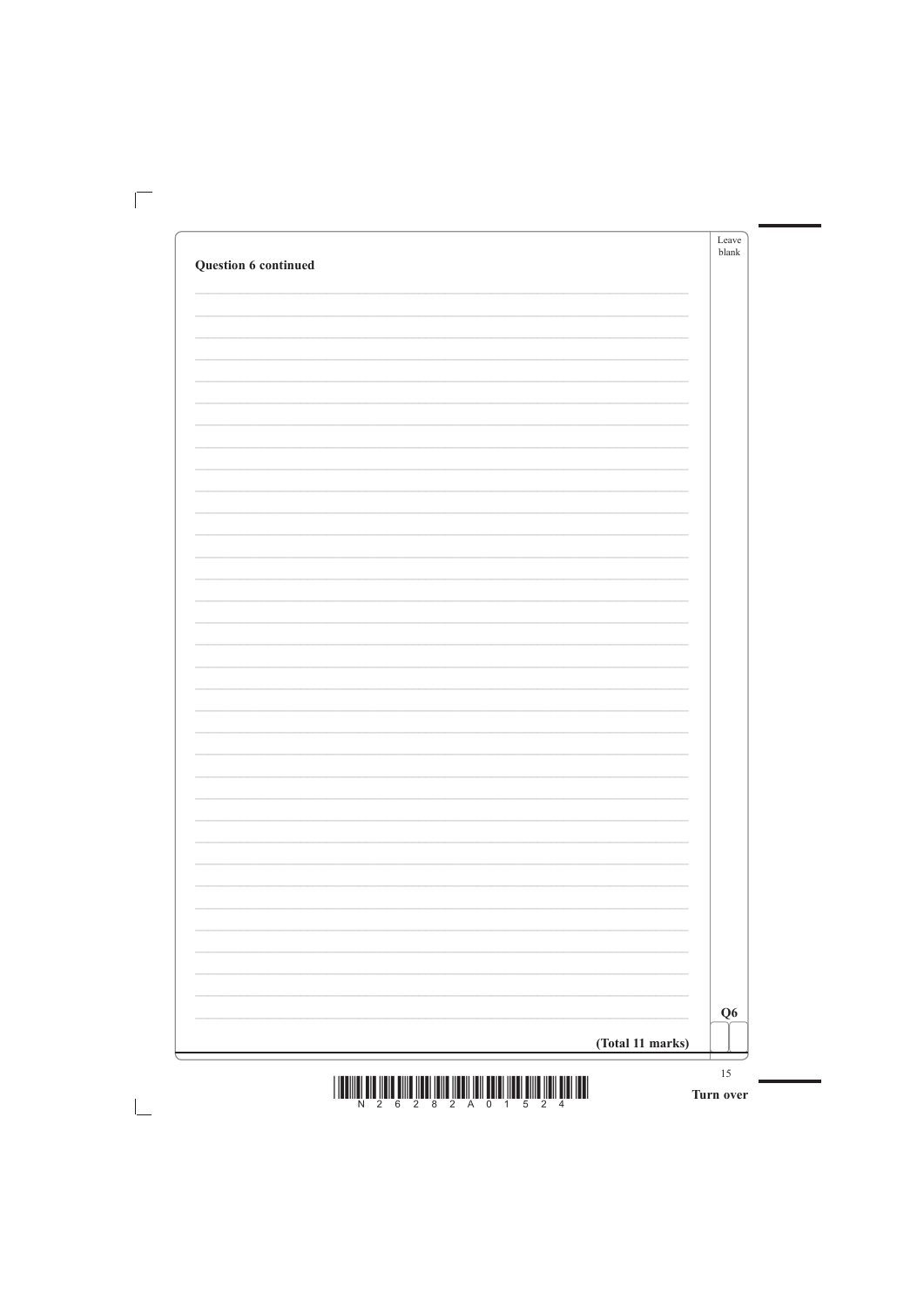|                      | Leave<br>blank |
|----------------------|----------------|
| Question 6 continued |                |
|                      |                |
|                      |                |
|                      |                |
|                      |                |
|                      |                |
|                      |                |
|                      |                |
|                      |                |
|                      |                |
|                      |                |
|                      |                |
|                      |                |
|                      |                |
|                      |                |
|                      |                |
|                      |                |
|                      |                |
|                      |                |
|                      |                |
|                      |                |
|                      |                |
|                      |                |
|                      |                |
|                      |                |
|                      |                |
|                      |                |
|                      |                |
|                      |                |
|                      |                |
|                      |                |

![](_page_14_Figure_1.jpeg)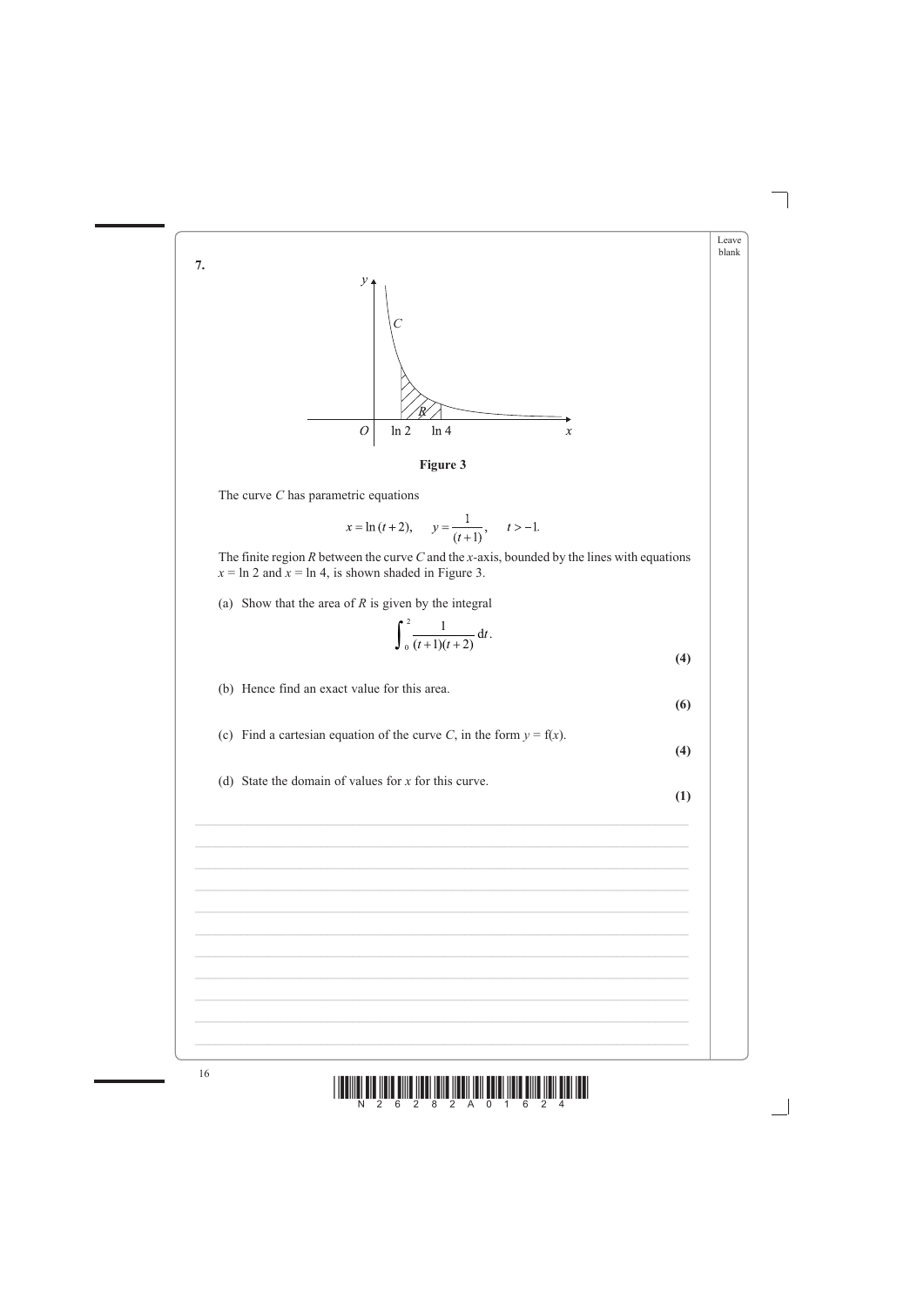![](_page_15_Figure_0.jpeg)

![](_page_15_Figure_1.jpeg)

The curve  $C$  has parametric equations

 $7.$ 

16

$$
x = \ln (t + 2),
$$
  $y = \frac{1}{(t+1)},$   $t > -1.$ 

The finite region  $R$  between the curve  $C$  and the x-axis, bounded by the lines with equations  $x = \ln 2$  and  $x = \ln 4$ , is shown shaded in Figure 3.

(a) Show that the area of  $R$  is given by the integral

$$
\int_{0}^{2} \frac{1}{(t+1)(t+2)} dt.
$$
 (4)

(b) Hence find an exact value for this area.

 $(6)$ 

Leave blank

- (c) Find a cartesian equation of the curve C, in the form  $y = f(x)$ .
- $(4)$

 $(1)$ 

(d) State the domain of values for  $x$  for this curve.

![](_page_15_Figure_12.jpeg)

![](_page_15_Figure_13.jpeg)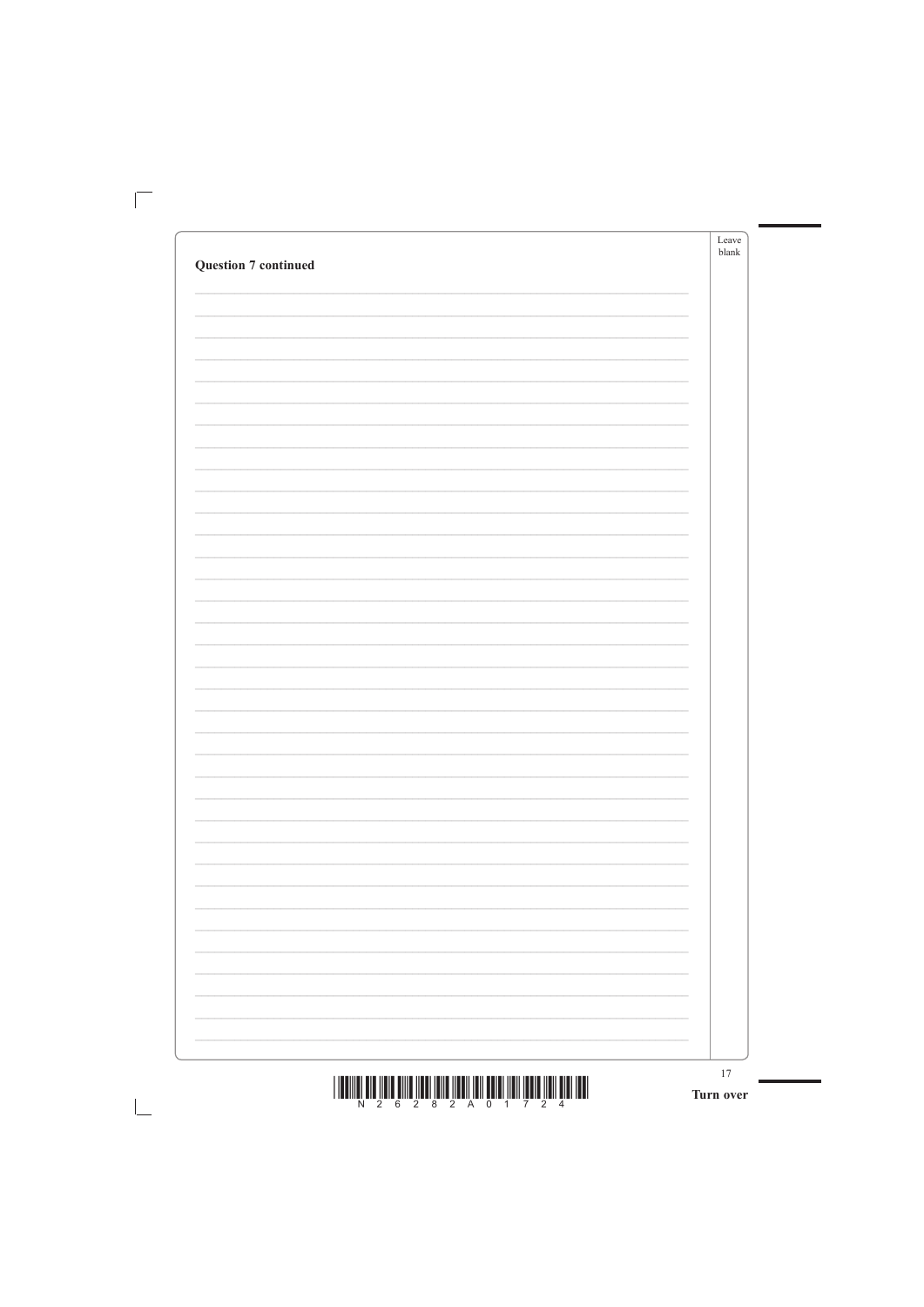|                             |                          | Leave<br>blank |
|-----------------------------|--------------------------|----------------|
| <b>Question 7 continued</b> |                          |                |
|                             |                          |                |
|                             |                          |                |
|                             |                          |                |
|                             |                          |                |
|                             |                          |                |
|                             |                          |                |
|                             |                          |                |
|                             |                          |                |
|                             |                          |                |
|                             |                          |                |
|                             |                          |                |
|                             |                          |                |
|                             |                          |                |
|                             |                          |                |
|                             |                          |                |
|                             |                          |                |
|                             |                          |                |
|                             |                          |                |
|                             |                          |                |
|                             |                          |                |
|                             |                          |                |
|                             |                          |                |
|                             |                          |                |
|                             |                          |                |
|                             |                          |                |
|                             |                          |                |
|                             |                          |                |
|                             |                          |                |
|                             |                          |                |
|                             |                          |                |
|                             |                          |                |
|                             |                          |                |
|                             | $\overline{\phantom{a}}$ |                |
|                             |                          |                |
|                             |                          |                |

![](_page_16_Figure_1.jpeg)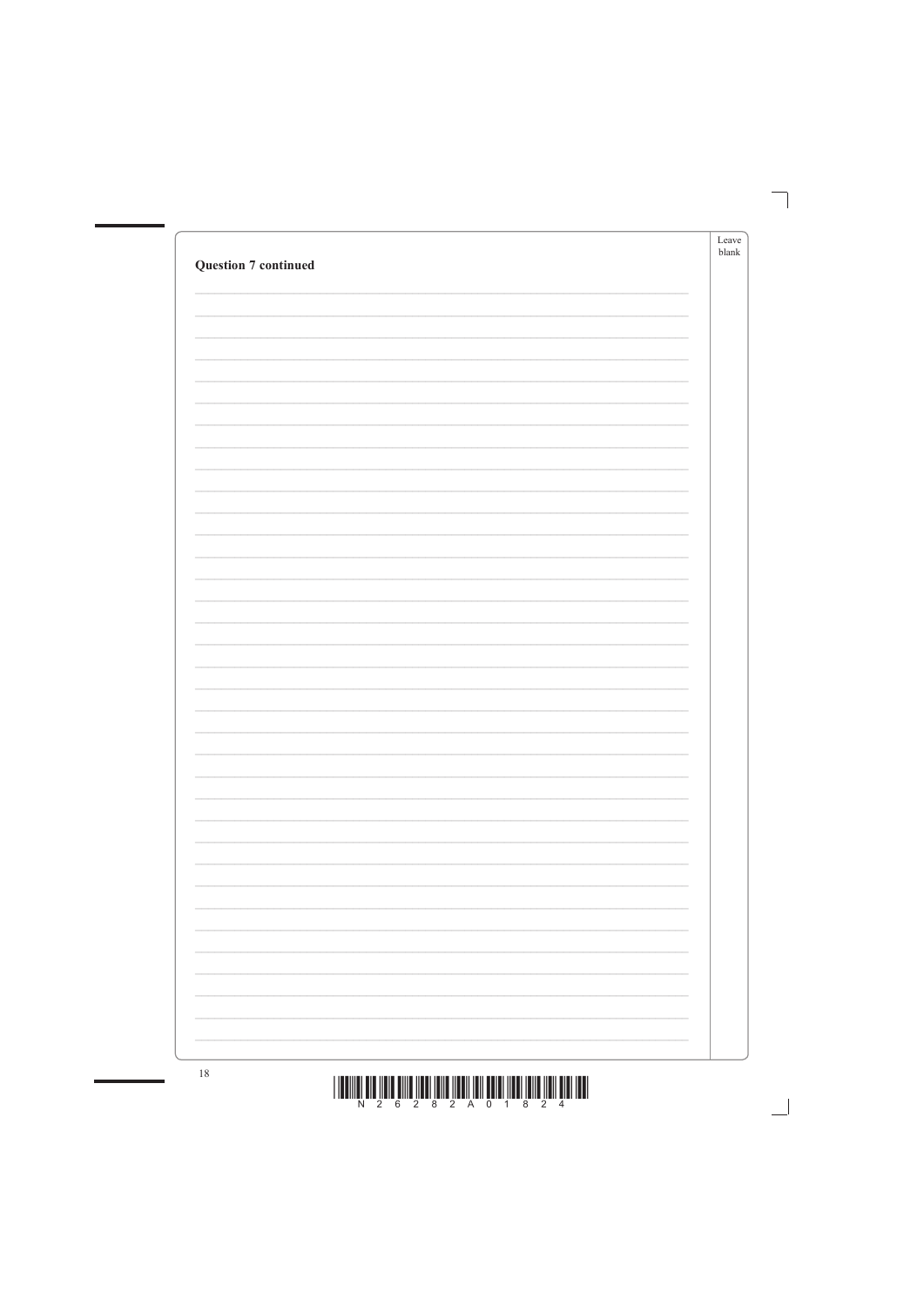| <b>Question 7 continued</b> | Leave<br>blank |
|-----------------------------|----------------|
|                             |                |
|                             |                |
|                             |                |
|                             |                |
|                             |                |
|                             |                |
|                             |                |
|                             |                |
|                             |                |
|                             |                |
|                             |                |
|                             |                |
|                             |                |
|                             |                |
|                             |                |
|                             |                |
|                             |                |
|                             |                |
|                             |                |

![](_page_17_Figure_1.jpeg)

![](_page_17_Figure_2.jpeg)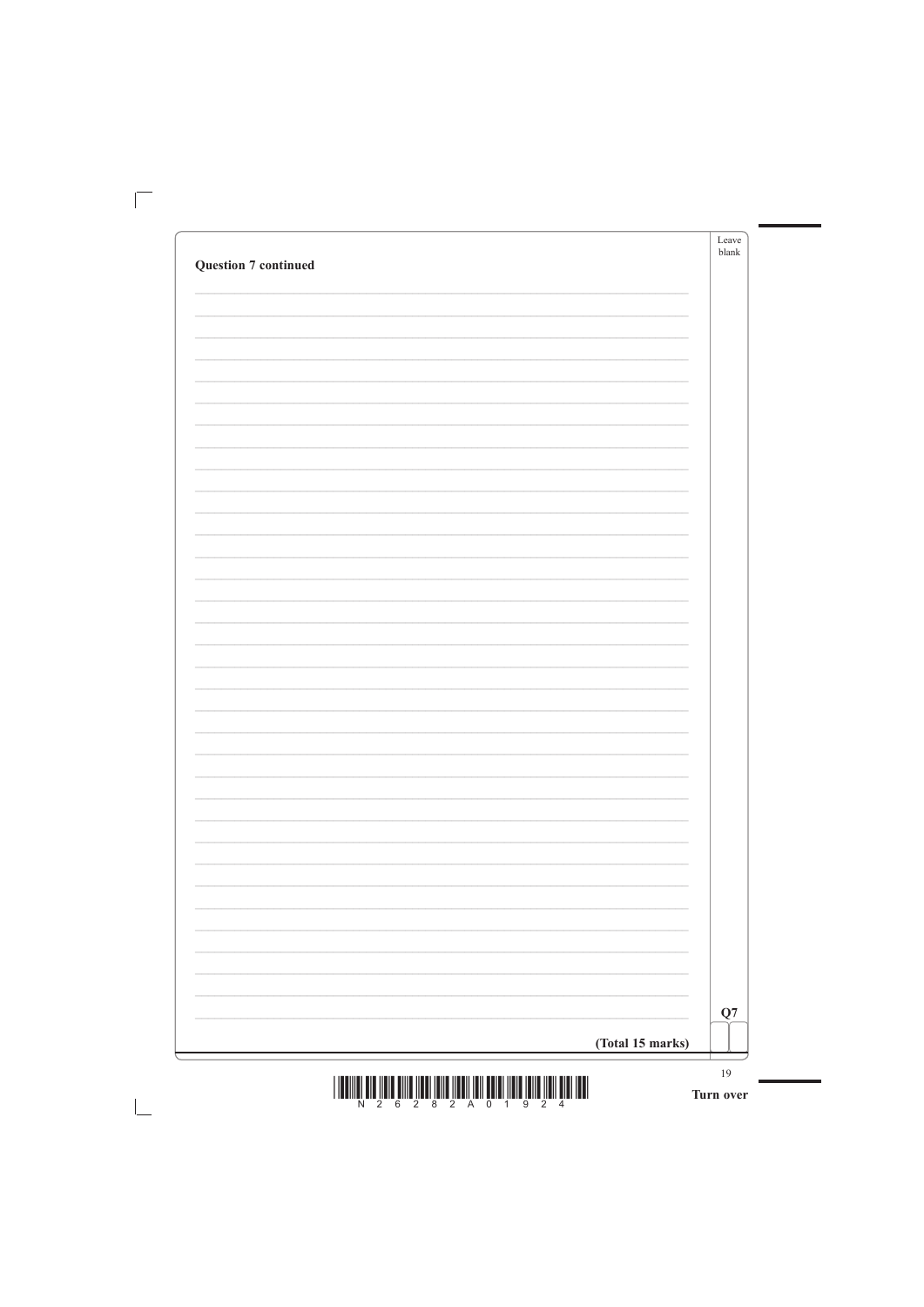|                             |                          | Leave<br>blank |
|-----------------------------|--------------------------|----------------|
| <b>Question 7 continued</b> |                          |                |
|                             |                          |                |
|                             |                          |                |
|                             |                          |                |
|                             |                          |                |
|                             |                          |                |
|                             |                          |                |
|                             |                          |                |
|                             |                          |                |
|                             |                          |                |
|                             |                          |                |
|                             |                          |                |
|                             |                          |                |
|                             |                          |                |
|                             |                          |                |
|                             |                          |                |
|                             |                          |                |
|                             |                          |                |
|                             |                          |                |
|                             |                          |                |
|                             |                          |                |
|                             |                          |                |
|                             |                          |                |
|                             |                          |                |
|                             |                          |                |
|                             |                          |                |
|                             |                          |                |
|                             |                          |                |
|                             |                          |                |
|                             |                          |                |
|                             |                          |                |
|                             |                          |                |
|                             |                          |                |
|                             | $\overline{\phantom{a}}$ |                |
|                             |                          |                |
|                             |                          |                |

![](_page_18_Figure_1.jpeg)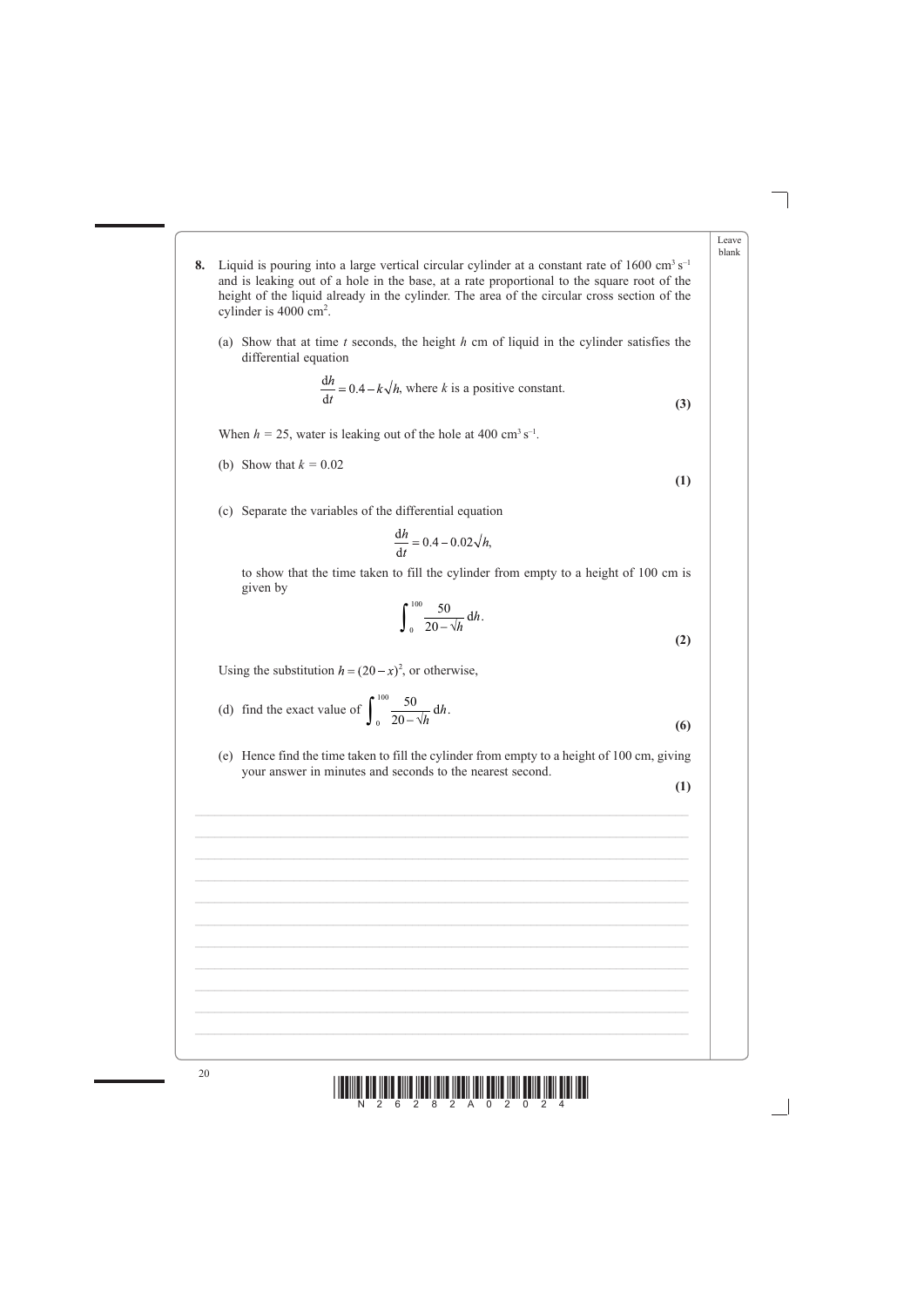![](_page_19_Figure_8.jpeg)

|    |                                                                                                                                                                                                                                                                                                                                           | Leave<br>blank |
|----|-------------------------------------------------------------------------------------------------------------------------------------------------------------------------------------------------------------------------------------------------------------------------------------------------------------------------------------------|----------------|
| 8. | Liquid is pouring into a large vertical circular cylinder at a constant rate of 1600 $\rm cm^3\,s^{-1}$<br>and is leaking out of a hole in the base, at a rate proportional to the square root of the<br>height of the liquid already in the cylinder. The area of the circular cross section of the<br>cylinder is $4000 \text{ cm}^2$ . |                |
|    | Show that at time t seconds, the height h cm of liquid in the cylinder satisfies the<br>(a)<br>differential equation                                                                                                                                                                                                                      |                |
|    | $\frac{dh}{dt} = 0.4 - k\sqrt{h}$ , where k is a positive constant.<br>(3)                                                                                                                                                                                                                                                                |                |
|    | When $h = 25$ , water is leaking out of the hole at 400 cm <sup>3</sup> s <sup>-1</sup> .                                                                                                                                                                                                                                                 |                |
|    | (b) Show that $k = 0.02$<br>(1)                                                                                                                                                                                                                                                                                                           |                |
|    | Separate the variables of the differential equation<br>(c)                                                                                                                                                                                                                                                                                |                |
|    | $\frac{dh}{dt} = 0.4 - 0.02 \sqrt{h}$ ,                                                                                                                                                                                                                                                                                                   |                |

 to show that the time taken to fill the cylinder from empty to a height of 100 cm is given by

(d) find the exact value of 
$$
\int_{0}^{100} \frac{50}{20 - \sqrt{h}} dh.
$$
 (6)

 (e) Hence find the time taken to fill the cylinder from empty to a height of 100 cm, giving your answer in minutes and seconds to the nearest second.

**(1)**

![](_page_19_Figure_7.jpeg)

$$
\int_{0}^{100} \frac{50}{20 - \sqrt{h}} \, \mathrm{d}h. \tag{2}
$$

Using the substitution  $h = (20 - x)^2$ , or otherwise,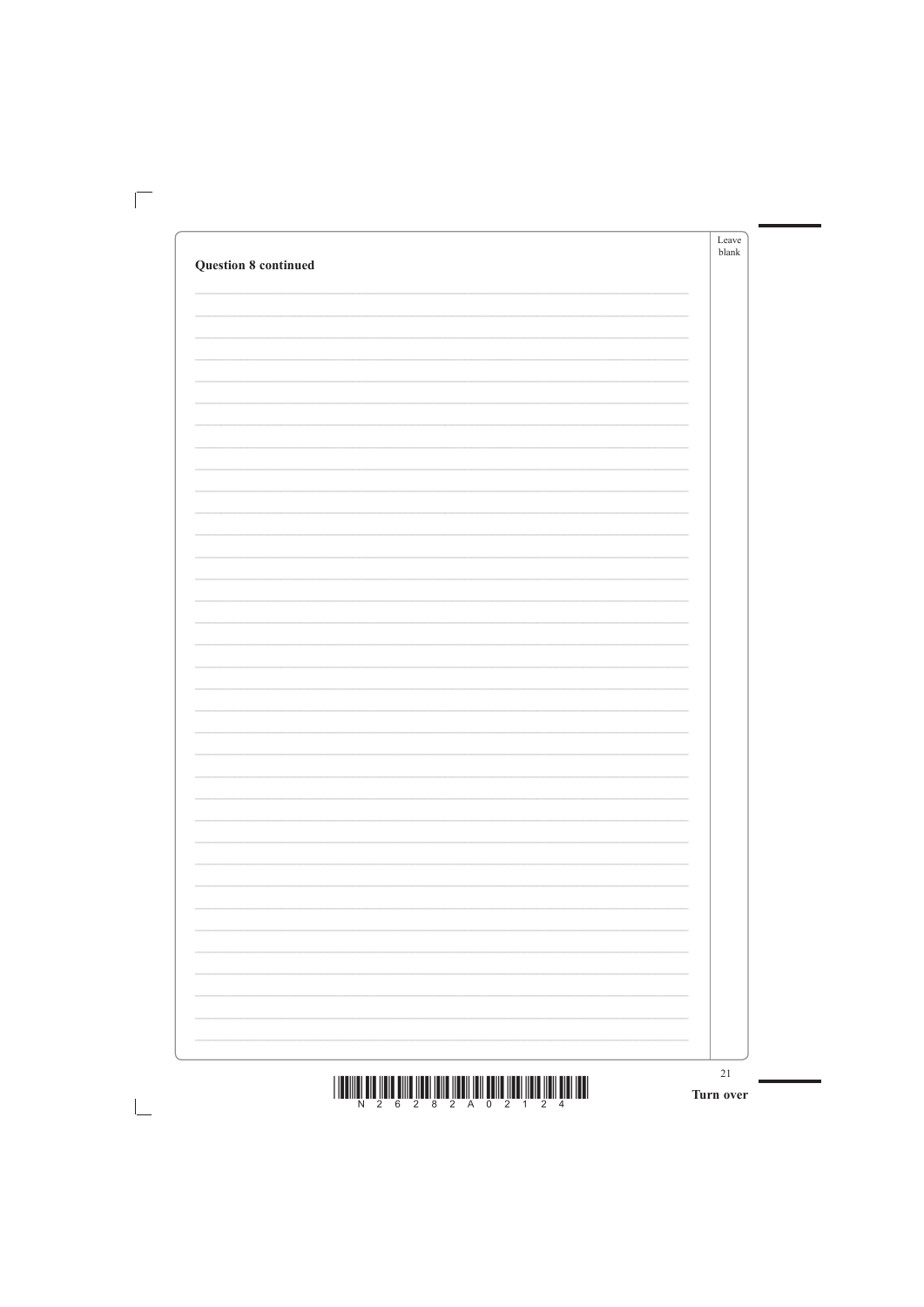| <b>Question 8 continued</b> | Leave<br>$b$ lank |
|-----------------------------|-------------------|
|                             |                   |
|                             |                   |
|                             |                   |
|                             |                   |
|                             |                   |
|                             |                   |
|                             |                   |
|                             |                   |
|                             |                   |
|                             |                   |
|                             |                   |
|                             |                   |
|                             |                   |
|                             |                   |
|                             |                   |
|                             |                   |
|                             |                   |
|                             |                   |
|                             |                   |
|                             |                   |
|                             |                   |
|                             |                   |
|                             |                   |
|                             |                   |
|                             |                   |
|                             |                   |
|                             |                   |
|                             |                   |
|                             |                   |
|                             |                   |
|                             |                   |

![](_page_20_Figure_1.jpeg)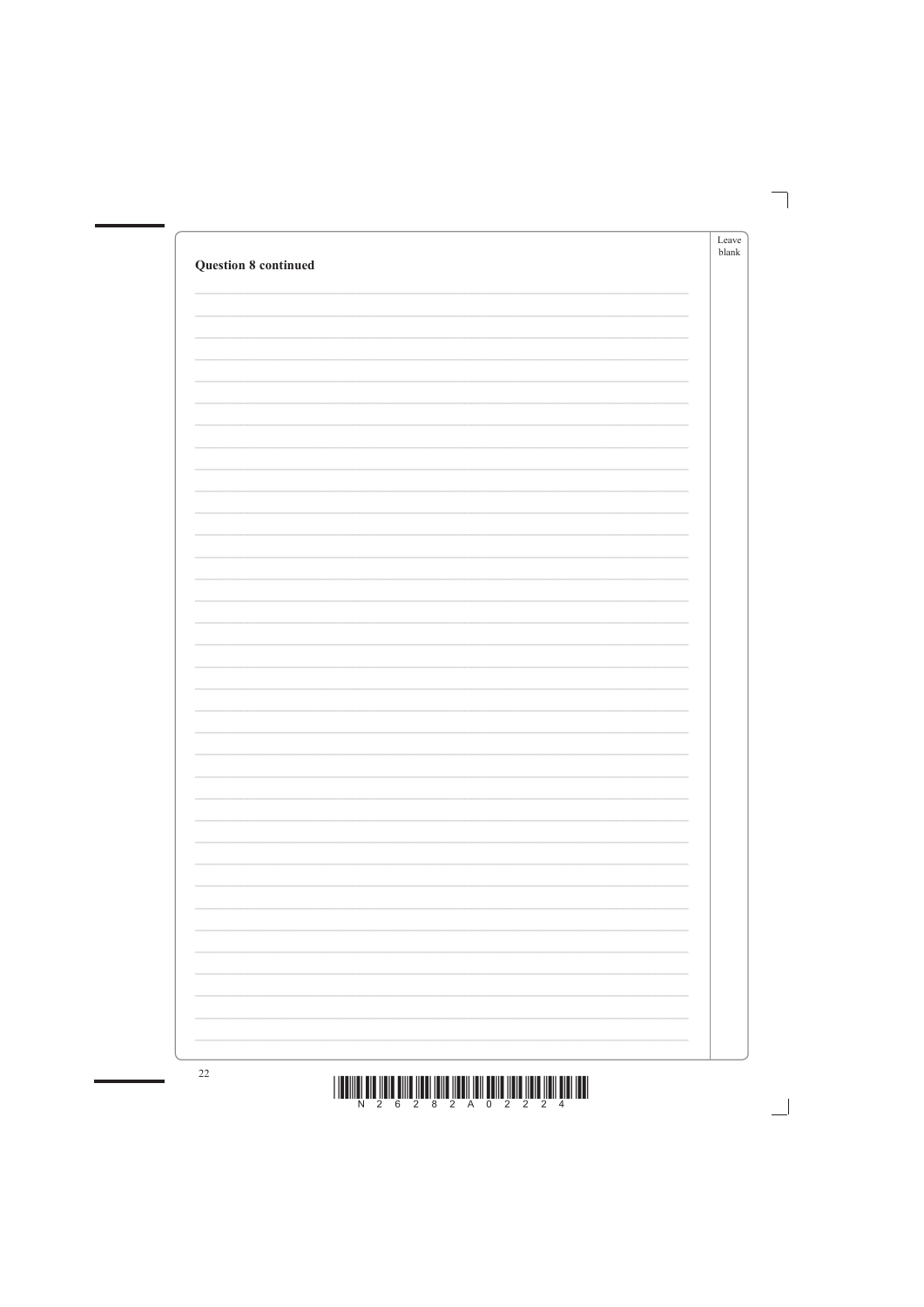| <b>Question 8 continued</b> | Leave<br>blank |
|-----------------------------|----------------|
|                             |                |
|                             |                |
|                             |                |
|                             |                |
|                             |                |
|                             |                |
|                             |                |
|                             |                |
|                             |                |
|                             |                |
|                             |                |
|                             |                |
|                             |                |
|                             |                |
|                             |                |
|                             |                |
|                             |                |
|                             |                |
|                             |                |

![](_page_21_Figure_1.jpeg)

![](_page_21_Picture_3.jpeg)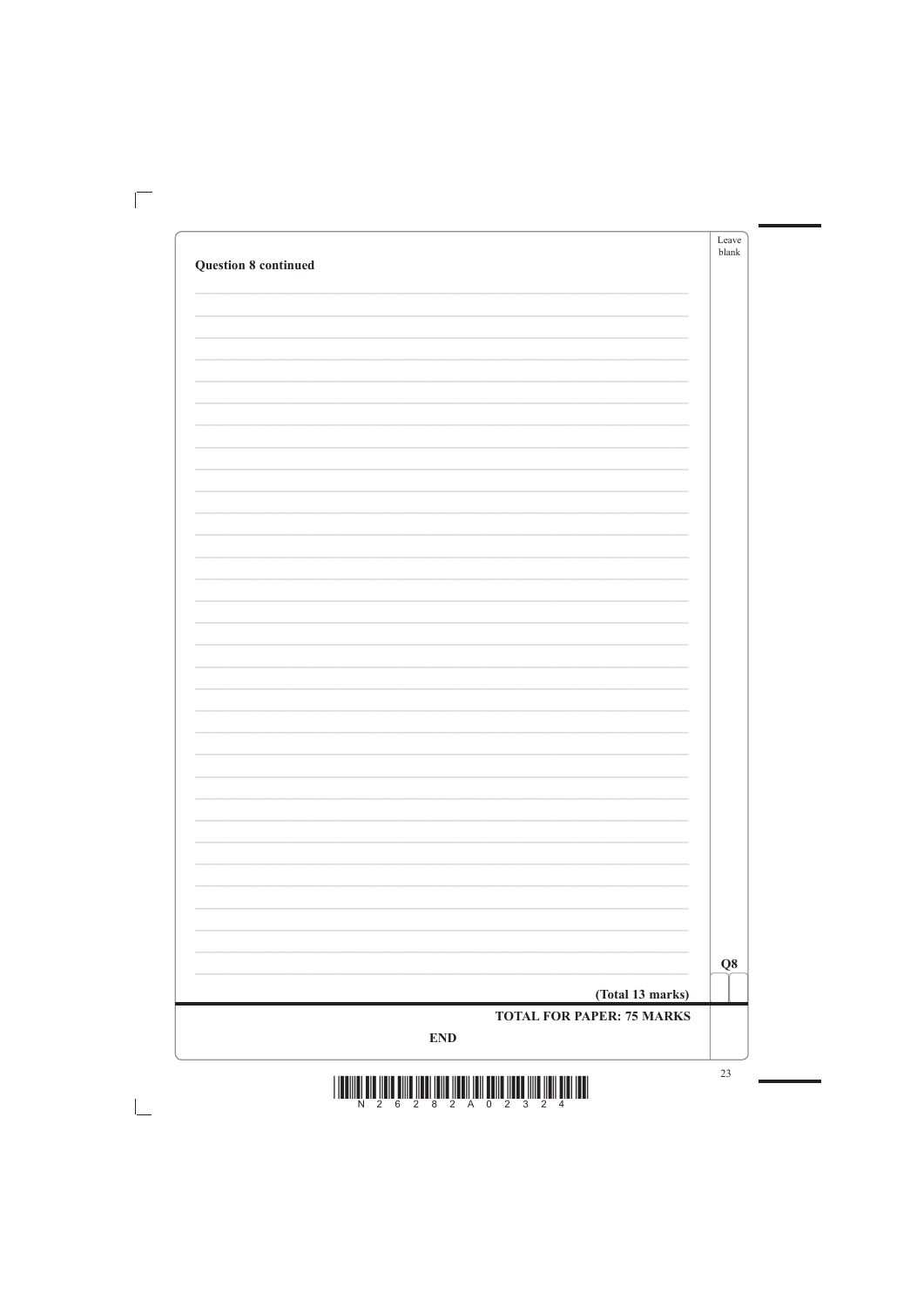|                             | Leave<br>$b$ lank |
|-----------------------------|-------------------|
| <b>Question 8 continued</b> |                   |
|                             |                   |
|                             |                   |
|                             |                   |
|                             |                   |
|                             |                   |
|                             |                   |
|                             |                   |
|                             |                   |
|                             |                   |
|                             |                   |
|                             |                   |
|                             |                   |
|                             |                   |
|                             |                   |
|                             |                   |
|                             |                   |
|                             |                   |
|                             |                   |
|                             |                   |
|                             |                   |
|                             |                   |
|                             |                   |
|                             |                   |
|                             |                   |
|                             |                   |
|                             |                   |
|                             |                   |
|                             |                   |
|                             |                   |
|                             |                   |
|                             | $\bf Q8$          |

 $\overline{\Box}$ 

![](_page_22_Figure_1.jpeg)